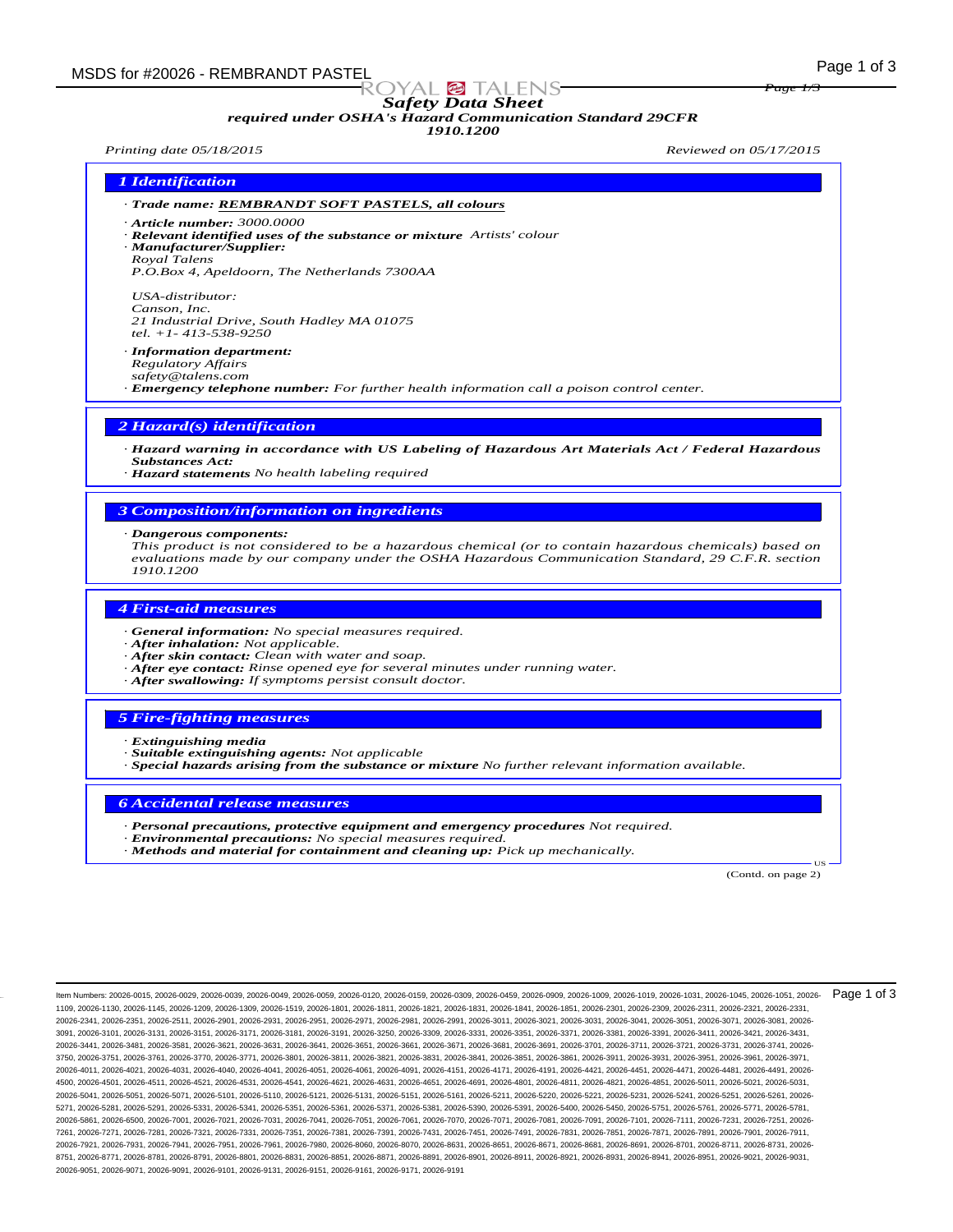# *Safety Data Sheet*

# *required under OSHA's Hazard Communication Standard 29CFR*

*1910.1200*

*Printing date 05/18/2015 Reviewed on 05/17/2015*

*Page 1/3*

- *· Trade name: REMBRANDT SOFT PASTELS, all colours*
- *· Article number: 3000.0000*
- *· Relevant identified uses of the substance or mixture Artists' colour · Manufacturer/Supplier:*
- *Royal Talens*

*P.O.Box 4, Apeldoorn, The Netherlands 7300AA*

*USA-distributor: Canson, Inc. 21 Industrial Drive, South Hadley MA 01075 tel. +1- 413-538-9250*

*· Information department:*

*Regulatory Affairs*

*safety@talens.com*

*· Emergency telephone number: For further health information call a poison control center.*

#### *2 Hazard(s) identification*

*· Hazard warning in accordance with US Labeling of Hazardous Art Materials Act / Federal Hazardous Substances Act:*

*· Hazard statements No health labeling required*

#### *3 Composition/information on ingredients*

*· Dangerous components:*

*This product is not considered to be a hazardous chemical (or to contain hazardous chemicals) based on evaluations made by our company under the OSHA Hazardous Communication Standard, 29 C.F.R. section 1910.1200*

## *4 First-aid measures*

- *· General information: No special measures required.*
- *· After inhalation: Not applicable.*
- *· After skin contact: Clean with water and soap.*
- *· After eye contact: Rinse opened eye for several minutes under running water.*
- *· After swallowing: If symptoms persist consult doctor.*

#### *5 Fire-fighting measures*

- *· Extinguishing media*
- *· Suitable extinguishing agents: Not applicable*
- *· Special hazards arising from the substance or mixture No further relevant information available.*

#### *6 Accidental release measures*

- *· Personal precautions, protective equipment and emergency procedures Not required.*
- *· Environmental precautions: No special measures required.*
- *· Methods and material for containment and cleaning up: Pick up mechanically.*

(Contd. on page 2)

US

Item Numbers: 20026-0015, 20026-0029, 20026-0039, 20026-0049, 20026-0059, 20026-0120, 20026-0159, 20026-0309, 20026-0459, 20026-0909, 20026-1009, 20026-1019, 20026-1031, 20026-1045, 20026-1051, 20026- 1109, 20026-1130, 20026-1145, 20026-1209, 20026-1309, 20026-1519, 20026-1801, 20026-1811, 20026-1821, 20026-1831, 20026-1841, 20026-1851, 20026-2301, 20026-2309, 20026-2311, 20026-2321, 20026-2331, 20026-2341, 20026-2351, 20026-2511, 20026-2901, 20026-2931, 20026-2951, 20026-2971, 20026-2981, 20026-2991, 20026-3011, 20026-3021, 20026-3031, 20026-3041, 20026-3051, 20026-3071, 20026-3081, 20026- 3091, 20026-3101, 20026-3131, 20026-3151, 20026-3171, 20026-3181, 20026-3191, 20026-3250, 20026-3309, 20026-3331, 20026-3351, 20026-3371, 20026-3381, 20026-3391, 20026-3411, 20026-3421, 20026-3431, 20026-3441, 20026-3481, 20026-3581, 20026-3621, 20026-3631, 20026-3641, 20026-3651, 20026-3661, 20026-3671, 20026-3681, 20026-3691, 20026-3701, 20026-3711, 20026-3721, 20026-3731, 20026-3741, 20026- 3750, 20026-3751, 20026-3761, 20026-3770, 20026-3771, 20026-3801, 20026-3811, 20026-3821, 20026-3831, 20026-3841, 20026-3851, 20026-3861, 20026-3911, 20026-3931, 20026-3951, 20026-3961, 20026-3971, 20026-4011, 20026-4021, 20026-4031, 20026-4040, 20026-4041, 20026-4051, 20026-4061, 20026-4091, 20026-4151, 20026-4171, 20026-4191, 20026-4421, 20026-4451, 20026-4471, 20026-4481, 20026-4491, 20026- 4500, 20026-4501, 20026-4511, 20026-4521, 20026-4531, 20026-4541, 20026-4621, 20026-4631, 20026-4651, 20026-4691, 20026-4801, 20026-4811, 20026-4821, 20026-4851, 20026-5011, 20026-5021, 20026-5031, 20026-5041, 20026-5051, 20026-5071, 20026-5101, 20026-5110, 20026-5121, 20026-5131, 20026-5151, 20026-5161, 20026-5211, 20026-5220, 20026-5221, 20026-5231, 20026-5241, 20026-5251, 20026-5261, 20026- 5271, 20026-5281, 20026-5291, 20026-5331, 20026-5341, 20026-5351, 20026-5361, 20026-5371, 20026-5381, 20026-5390, 20026-5391, 20026-5400, 20026-5450, 20026-5751, 20026-5761, 20026-5771, 20026-5781, 20026-5861, 20026-6500, 20026-7001, 20026-7021, 20026-7031, 20026-7041, 20026-7051, 20026-7061, 20026-7070, 20026-7071, 20026-7081, 20026-7091, 20026-7101, 20026-7111, 20026-7231, 20026-7251, 20026- 7261, 20026-7271, 20026-7281, 20026-7321, 20026-7331, 20026-7351, 20026-7381, 20026-7391, 20026-7431, 20026-7451, 20026-7491, 20026-7831, 20026-7851, 20026-7871, 20026-7891, 20026-7901, 20026-7911, 20026-7921, 20026-7931, 20026-7941, 20026-7951, 20026-7961, 20026-7980, 20026-8060, 20026-8070, 20026-8631, 20026-8651, 20026-8671, 20026-8681, 20026-8691, 20026-8701, 20026-8711, 20026-8731, 20026- 8751, 20026-8771, 20026-8781, 20026-8791, 20026-8801, 20026-8831, 20026-8851, 20026-8871, 20026-8891, 20026-8901, 20026-8911, 20026-8921, 20026-8931, 20026-8941, 20026-8951, 20026-9021, 20026-9031, 20026-9051, 20026-9071, 20026-9091, 20026-9101, 20026-9131, 20026-9151, 20026-9161, 20026-9171, 20026-9191 Page 1 of 3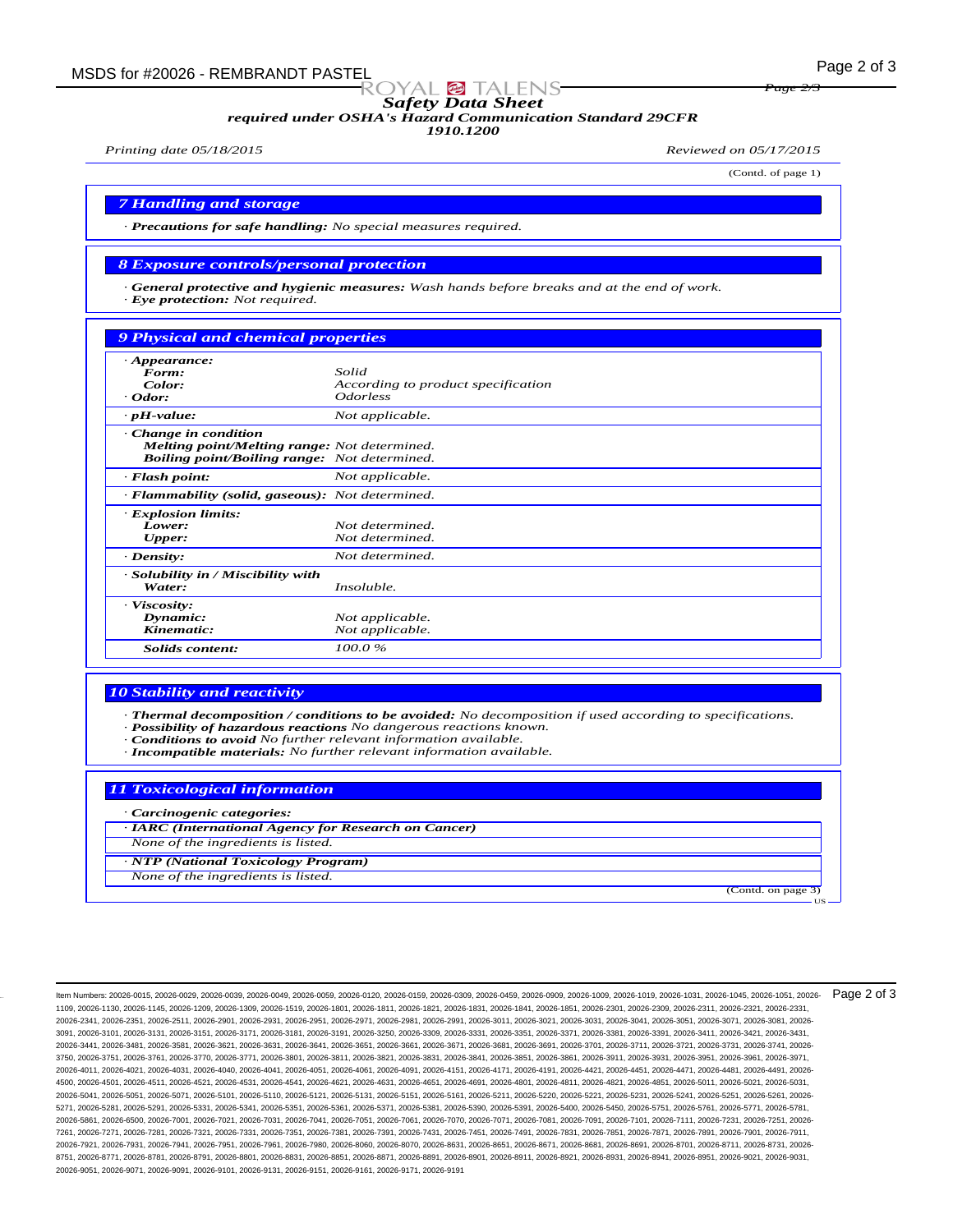*Safety Data Sheet*

*required under OSHA's Hazard Communication Standard 29CFR*

*1910.1200*

*Printing date 05/18/2015 Reviewed on 05/17/2015*

(Contd. of page 1)

(Contd. on page 3)

US

*Page 2/3*

*7 Handling and storage*

*· Precautions for safe handling: No special measures required.*

#### *8 Exposure controls/personal protection*

*· General protective and hygienic measures: Wash hands before breaks and at the end of work. · Eye protection: Not required.*

## *9 Physical and chemical properties*

| $\cdot$ Appearance:                                                                                                                       |                                    |
|-------------------------------------------------------------------------------------------------------------------------------------------|------------------------------------|
| Form:                                                                                                                                     | Solid                              |
| Color:                                                                                                                                    | According to product specification |
| $\cdot$ Odor:                                                                                                                             | <i>Odorless</i>                    |
| $\cdot$ pH-value:                                                                                                                         | Not applicable.                    |
| $\cdot$ Change in condition<br><b>Melting point/Melting range:</b> Not determined.<br><b>Boiling point/Boiling range:</b> Not determined. |                                    |
| · Flash point:                                                                                                                            | Not applicable.                    |
| · Flammability (solid, gaseous): Not determined.                                                                                          |                                    |
| · Explosion limits:                                                                                                                       |                                    |
| Lower:                                                                                                                                    | Not determined.                    |
| <b>Upper:</b>                                                                                                                             | Not determined.                    |
| $\cdot$ Density:                                                                                                                          | Not determined.                    |
| · Solubility in / Miscibility with                                                                                                        |                                    |
| Water:                                                                                                                                    | Insoluble.                         |
| · Viscosity:                                                                                                                              |                                    |
| Dynamic:                                                                                                                                  | Not applicable.                    |
| Kinematic:                                                                                                                                | Not applicable.                    |
| Solids content:                                                                                                                           | 100.0%                             |

#### *10 Stability and reactivity*

*· Thermal decomposition / conditions to be avoided: No decomposition if used according to specifications.*

- *· Possibility of hazardous reactions No dangerous reactions known.*
- *· Conditions to avoid No further relevant information available.*
- *· Incompatible materials: No further relevant information available.*

#### *11 Toxicological information*

- *· Carcinogenic categories:*
- *· IARC (International Agency for Research on Cancer)*

*None of the ingredients is listed.*

*· NTP (National Toxicology Program)*

*None of the ingredients is listed.*

Item Numbers: 20026-0015, 20026-0029, 20026-0039, 20026-0049, 20026-0059, 20026-0120, 20026-0159, 20026-0309, 20026-0459, 20026-0909, 20026-1009, 20026-1019, 20026-1031, 20026-1045, 20026-1051, 20026- 1109, 20026-1130, 20026-1145, 20026-1209, 20026-1309, 20026-1519, 20026-1801, 20026-1811, 20026-1821, 20026-1831, 20026-1841, 20026-1851, 20026-2301, 20026-2309, 20026-2311, 20026-2321, 20026-2331, 20026-2341, 20026-2351, 20026-2511, 20026-2901, 20026-2931, 20026-2951, 20026-2971, 20026-2981, 20026-2991, 20026-3011, 20026-3021, 20026-3031, 20026-3041, 20026-3051, 20026-3071, 20026-3081, 20026- 3091, 20026-3101, 20026-3131, 20026-3151, 20026-3171, 20026-3181, 20026-3191, 20026-3250, 20026-3309, 20026-3331, 20026-3351, 20026-3371, 20026-3381, 20026-3391, 20026-3411, 20026-3421, 20026-3431, 20026-3441, 20026-3481, 20026-3581, 20026-3621, 20026-3631, 20026-3641, 20026-3651, 20026-3661, 20026-3671, 20026-3681, 20026-3691, 20026-3701, 20026-3711, 20026-3721, 20026-3731, 20026-3741, 20026- 3750, 20026-3751, 20026-3761, 20026-3770, 20026-3771, 20026-3801, 20026-3811, 20026-3821, 20026-3831, 20026-3841, 20026-3851, 20026-3861, 20026-3911, 20026-3931, 20026-3951, 20026-3961, 20026-3971, 20026-4011, 20026-4021, 20026-4031, 20026-4040, 20026-4041, 20026-4051, 20026-4061, 20026-4091, 20026-4151, 20026-4171, 20026-4191, 20026-4421, 20026-4451, 20026-4471, 20026-4481, 20026-4491, 20026- 4500, 20026-4501, 20026-4511, 20026-4521, 20026-4531, 20026-4541, 20026-4621, 20026-4631, 20026-4651, 20026-4691, 20026-4801, 20026-4811, 20026-4821, 20026-4851, 20026-5011, 20026-5021, 20026-5031, 20026-5041, 20026-5051, 20026-5071, 20026-5101, 20026-5110, 20026-5121, 20026-5131, 20026-5151, 20026-5161, 20026-5211, 20026-5220, 20026-5221, 20026-5231, 20026-5241, 20026-5251, 20026-5261, 20026- 5271, 20026-5281, 20026-5291, 20026-5331, 20026-5341, 20026-5351, 20026-5361, 20026-5371, 20026-5381, 20026-5390, 20026-5391, 20026-5400, 20026-5450, 20026-5751, 20026-5761, 20026-5771, 20026-5781, 20026-5861, 20026-6500, 20026-7001, 20026-7021, 20026-7031, 20026-7041, 20026-7051, 20026-7061, 20026-7070, 20026-7071, 20026-7081, 20026-7091, 20026-7101, 20026-7111, 20026-7231, 20026-7251, 20026- 7261, 20026-7271, 20026-7281, 20026-7321, 20026-7331, 20026-7351, 20026-7381, 20026-7391, 20026-7431, 20026-7451, 20026-7491, 20026-7831, 20026-7851, 20026-7871, 20026-7891, 20026-7901, 20026-7911, 20026-7921, 20026-7931, 20026-7941, 20026-7951, 20026-7961, 20026-7980, 20026-8060, 20026-8070, 20026-8631, 20026-8651, 20026-8671, 20026-8681, 20026-8691, 20026-8701, 20026-8711, 20026-8731, 20026- 8751, 20026-8771, 20026-8781, 20026-8791, 20026-8801, 20026-8831, 20026-8851, 20026-8871, 20026-8891, 20026-8901, 20026-8911, 20026-8921, 20026-8931, 20026-8941, 20026-8951, 20026-9021, 20026-9031, 20026-9051, 20026-9071, 20026-9091, 20026-9101, 20026-9131, 20026-9151, 20026-9161, 20026-9171, 20026-9191 Page 2 of 3